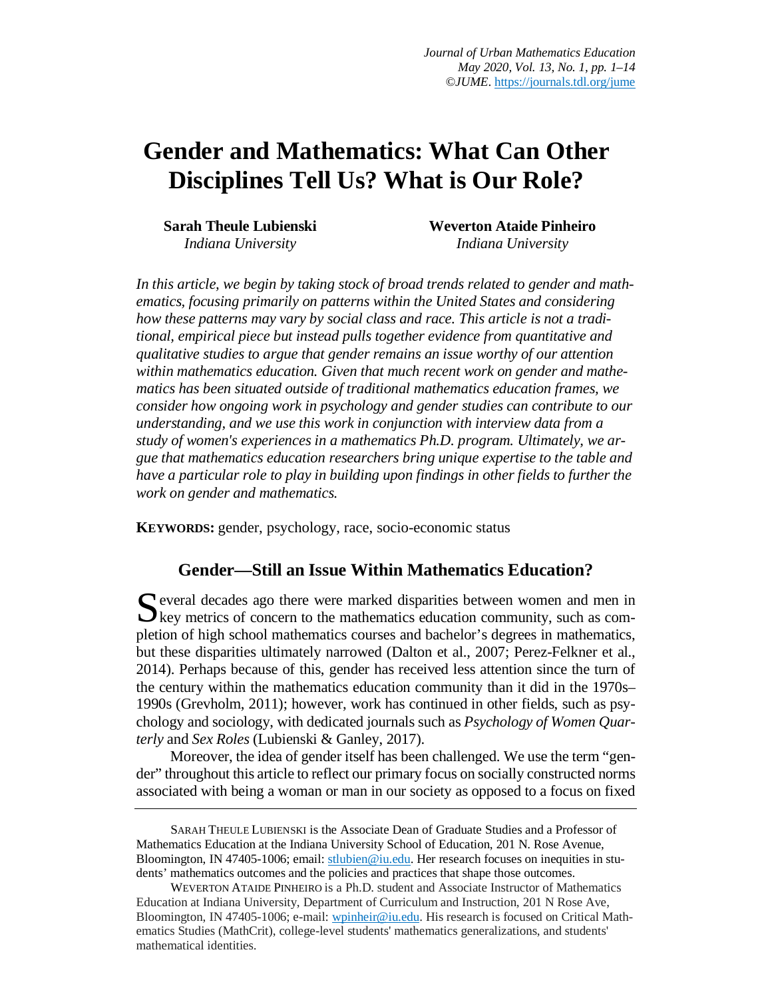# **Gender and Mathematics: What Can Other Disciplines Tell Us? What is Our Role?**

**Sarah Theule Lubienski**  *Indiana University*

**Weverton Ataide Pinheiro**  *Indiana University*

*In this article, we begin by taking stock of broad trends related to gender and mathematics, focusing primarily on patterns within the United States and considering how these patterns may vary by social class and race. This article is not a traditional, empirical piece but instead pulls together evidence from quantitative and qualitative studies to argue that gender remains an issue worthy of our attention within mathematics education. Given that much recent work on gender and mathematics has been situated outside of traditional mathematics education frames, we consider how ongoing work in psychology and gender studies can contribute to our understanding, and we use this work in conjunction with interview data from a study of women's experiences in a mathematics Ph.D. program. Ultimately, we argue that mathematics education researchers bring unique expertise to the table and have a particular role to play in building upon findings in other fields to further the work on gender and mathematics.*

**KEYWORDS:** gender, psychology, race, socio-economic status

# **Gender—Still an Issue Within Mathematics Education?**

everal decades ago there were marked disparities between women and men in Several decades ago there were marked disparities between women and men in Ney metrics of concern to the mathematics education community, such as completion of high school mathematics courses and bachelor's degrees in mathematics, but these disparities ultimately narrowed (Dalton et al., 2007; Perez-Felkner et al., 2014). Perhaps because of this, gender has received less attention since the turn of the century within the mathematics education community than it did in the 1970s– 1990s (Grevholm, 2011); however, work has continued in other fields, such as psychology and sociology, with dedicated journals such as *Psychology of Women Quarterly* and *Sex Roles* (Lubienski & Ganley, 2017).

Moreover, the idea of gender itself has been challenged. We use the term "gender" throughout this article to reflect our primary focus on socially constructed norms associated with being a woman or man in our society as opposed to a focus on fixed

SARAH THEULE LUBIENSKI is the Associate Dean of Graduate Studies and a Professor of Mathematics Education at the Indiana University School of Education, 201 N. Rose Avenue, Bloomington, IN 47405-1006; email: stlubien@iu.edu. Her research focuses on inequities in students' mathematics outcomes and the policies and practices that shape those outcomes.

WEVERTON ATAIDE PINHEIRO is a Ph.D. student and Associate Instructor of Mathematics Education at Indiana University, Department of Curriculum and Instruction, 201 N Rose Ave, Bloomington, IN 47405-1006; e-mail: wpinheir@iu.edu. His research is focused on Critical Mathematics Studies (MathCrit), college-level students' mathematics generalizations, and students' mathematical identities.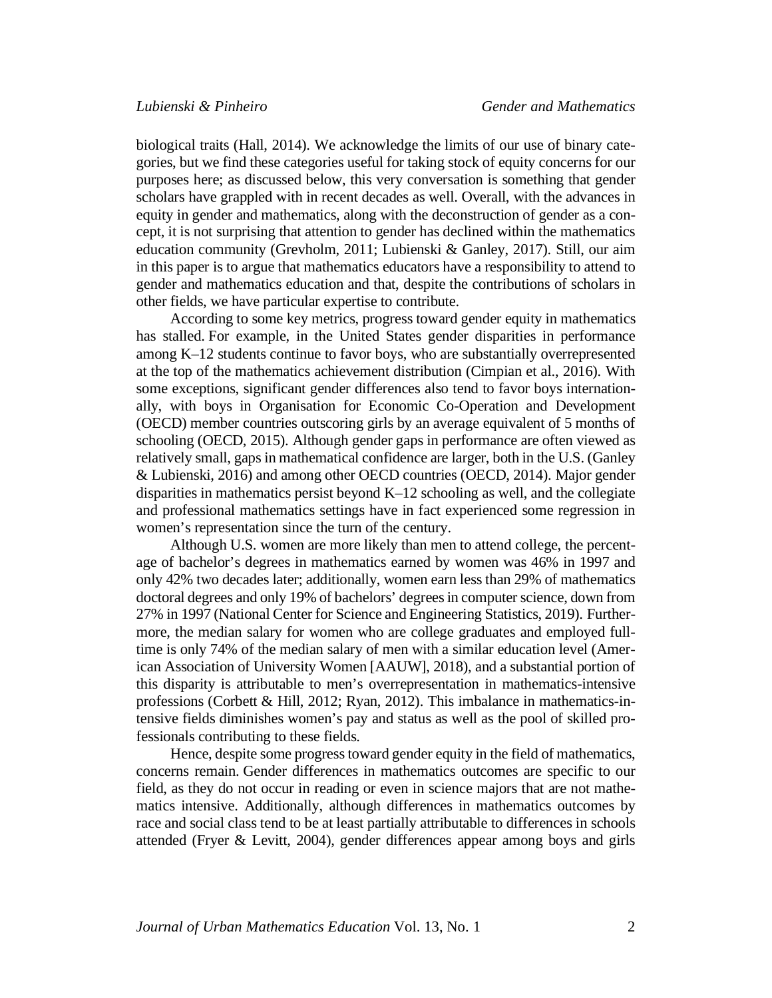biological traits (Hall, 2014). We acknowledge the limits of our use of binary categories, but we find these categories useful for taking stock of equity concerns for our purposes here; as discussed below, this very conversation is something that gender scholars have grappled with in recent decades as well. Overall, with the advances in equity in gender and mathematics, along with the deconstruction of gender as a concept, it is not surprising that attention to gender has declined within the mathematics education community (Grevholm, 2011; Lubienski & Ganley, 2017). Still, our aim in this paper is to argue that mathematics educators have a responsibility to attend to gender and mathematics education and that, despite the contributions of scholars in other fields, we have particular expertise to contribute.

According to some key metrics, progress toward gender equity in mathematics has stalled. For example, in the United States gender disparities in performance among K–12 students continue to favor boys, who are substantially overrepresented at the top of the mathematics achievement distribution (Cimpian et al., 2016). With some exceptions, significant gender differences also tend to favor boys internationally, with boys in Organisation for Economic Co-Operation and Development (OECD) member countries outscoring girls by an average equivalent of 5 months of schooling (OECD, 2015). Although gender gaps in performance are often viewed as relatively small, gaps in mathematical confidence are larger, both in the U.S. (Ganley & Lubienski, 2016) and among other OECD countries (OECD, 2014). Major gender disparities in mathematics persist beyond K–12 schooling as well, and the collegiate and professional mathematics settings have in fact experienced some regression in women's representation since the turn of the century.

Although U.S. women are more likely than men to attend college, the percentage of bachelor's degrees in mathematics earned by women was 46% in 1997 and only 42% two decades later; additionally, women earn less than 29% of mathematics doctoral degrees and only 19% of bachelors' degrees in computer science, down from 27% in 1997 (National Center for Science and Engineering Statistics, 2019). Furthermore, the median salary for women who are college graduates and employed fulltime is only 74% of the median salary of men with a similar education level (American Association of University Women [AAUW], 2018), and a substantial portion of this disparity is attributable to men's overrepresentation in mathematics-intensive professions (Corbett & Hill, 2012; Ryan, 2012). This imbalance in mathematics-intensive fields diminishes women's pay and status as well as the pool of skilled professionals contributing to these fields.

Hence, despite some progress toward gender equity in the field of mathematics, concerns remain. Gender differences in mathematics outcomes are specific to our field, as they do not occur in reading or even in science majors that are not mathematics intensive. Additionally, although differences in mathematics outcomes by race and social class tend to be at least partially attributable to differences in schools attended (Fryer & Levitt, 2004), gender differences appear among boys and girls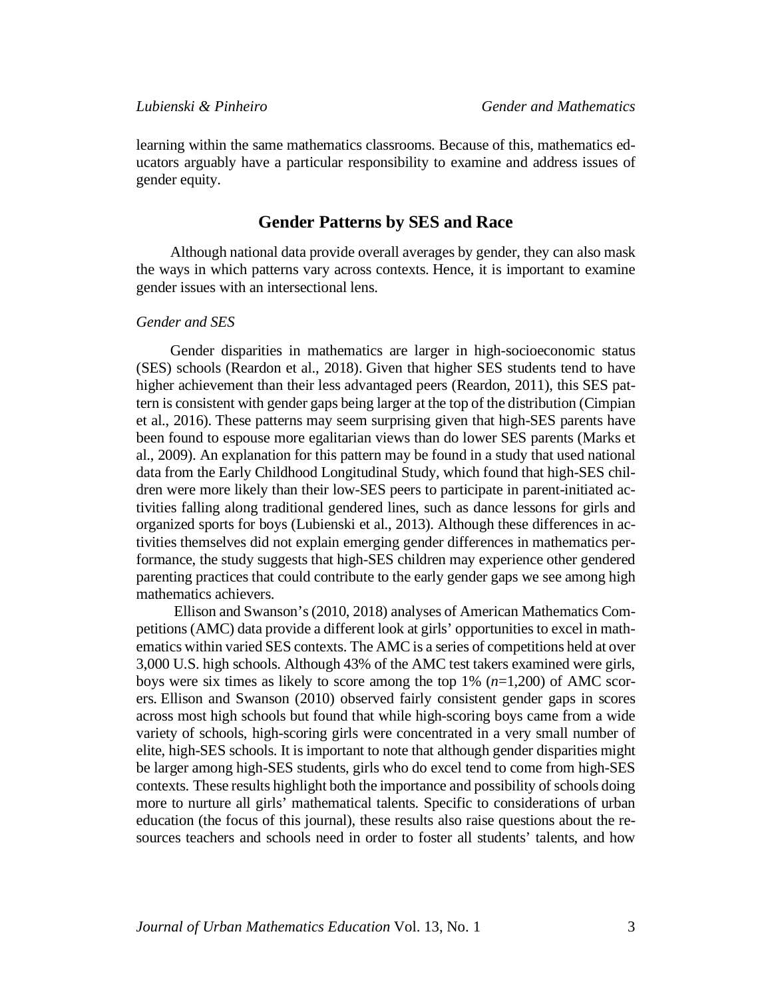learning within the same mathematics classrooms. Because of this, mathematics educators arguably have a particular responsibility to examine and address issues of gender equity.

#### **Gender Patterns by SES and Race**

Although national data provide overall averages by gender, they can also mask the ways in which patterns vary across contexts. Hence, it is important to examine gender issues with an intersectional lens.

#### *Gender and SES*

Gender disparities in mathematics are larger in high-socioeconomic status (SES) schools (Reardon et al., 2018). Given that higher SES students tend to have higher achievement than their less advantaged peers (Reardon, 2011), this SES pattern is consistent with gender gaps being larger at the top of the distribution (Cimpian et al., 2016). These patterns may seem surprising given that high-SES parents have been found to espouse more egalitarian views than do lower SES parents (Marks et al., 2009). An explanation for this pattern may be found in a study that used national data from the Early Childhood Longitudinal Study, which found that high-SES children were more likely than their low-SES peers to participate in parent-initiated activities falling along traditional gendered lines, such as dance lessons for girls and organized sports for boys (Lubienski et al., 2013). Although these differences in activities themselves did not explain emerging gender differences in mathematics performance, the study suggests that high-SES children may experience other gendered parenting practices that could contribute to the early gender gaps we see among high mathematics achievers.

Ellison and Swanson's (2010, 2018) analyses of American Mathematics Competitions (AMC) data provide a different look at girls' opportunities to excel in mathematics within varied SES contexts. The AMC is a series of competitions held at over 3,000 U.S. high schools. Although 43% of the AMC test takers examined were girls, boys were six times as likely to score among the top 1% (*n*=1,200) of AMC scorers. Ellison and Swanson (2010) observed fairly consistent gender gaps in scores across most high schools but found that while high-scoring boys came from a wide variety of schools, high-scoring girls were concentrated in a very small number of elite, high-SES schools. It is important to note that although gender disparities might be larger among high-SES students, girls who do excel tend to come from high-SES contexts. These results highlight both the importance and possibility of schools doing more to nurture all girls' mathematical talents. Specific to considerations of urban education (the focus of this journal), these results also raise questions about the resources teachers and schools need in order to foster all students' talents, and how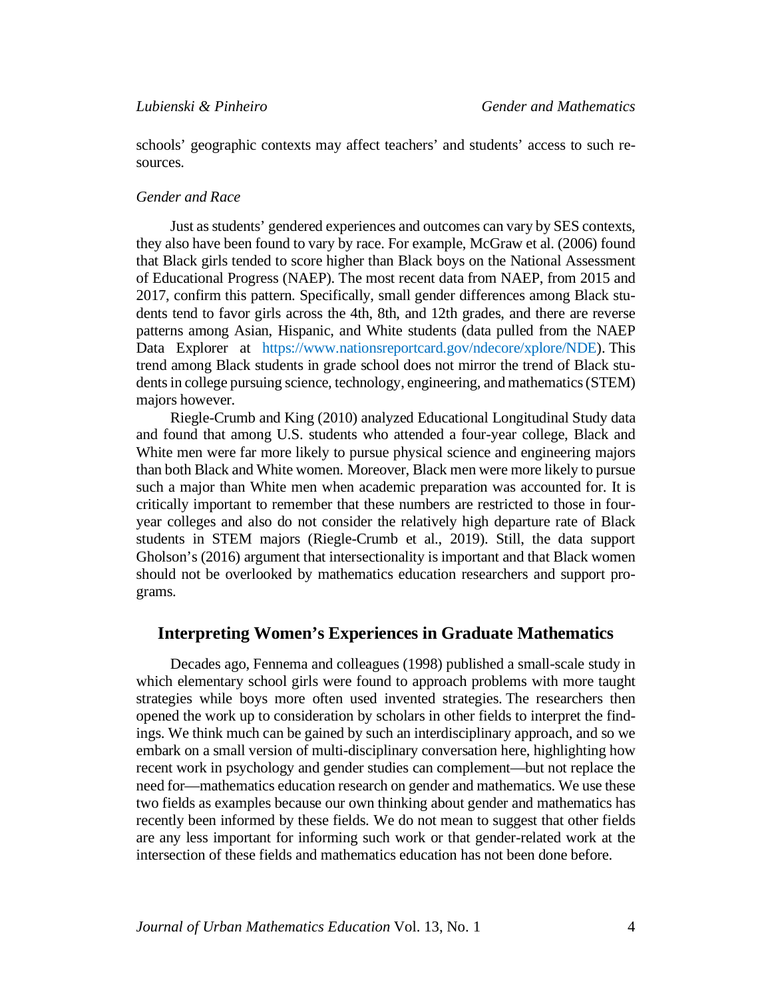schools' geographic contexts may affect teachers' and students' access to such resources.

#### *Gender and Race*

Just as students' gendered experiences and outcomes can vary by SES contexts, they also have been found to vary by race. For example, McGraw et al. (2006) found that Black girls tended to score higher than Black boys on the National Assessment of Educational Progress (NAEP). The most recent data from NAEP, from 2015 and 2017, confirm this pattern. Specifically, small gender differences among Black students tend to favor girls across the 4th, 8th, and 12th grades, and there are reverse patterns among Asian, Hispanic, and White students (data pulled from the NAEP Data Explorer at https://www.nationsreportcard.gov/ndecore/xplore/NDE). This trend among Black students in grade school does not mirror the trend of Black students in college pursuing science, technology, engineering, and mathematics (STEM) majors however.

Riegle-Crumb and King (2010) analyzed Educational Longitudinal Study data and found that among U.S. students who attended a four-year college, Black and White men were far more likely to pursue physical science and engineering majors than both Black and White women. Moreover, Black men were more likely to pursue such a major than White men when academic preparation was accounted for. It is critically important to remember that these numbers are restricted to those in fouryear colleges and also do not consider the relatively high departure rate of Black students in STEM majors (Riegle-Crumb et al., 2019). Still, the data support Gholson's (2016) argument that intersectionality is important and that Black women should not be overlooked by mathematics education researchers and support programs.

#### **Interpreting Women's Experiences in Graduate Mathematics**

Decades ago, Fennema and colleagues (1998) published a small-scale study in which elementary school girls were found to approach problems with more taught strategies while boys more often used invented strategies. The researchers then opened the work up to consideration by scholars in other fields to interpret the findings. We think much can be gained by such an interdisciplinary approach, and so we embark on a small version of multi-disciplinary conversation here, highlighting how recent work in psychology and gender studies can complement—but not replace the need for—mathematics education research on gender and mathematics. We use these two fields as examples because our own thinking about gender and mathematics has recently been informed by these fields. We do not mean to suggest that other fields are any less important for informing such work or that gender-related work at the intersection of these fields and mathematics education has not been done before.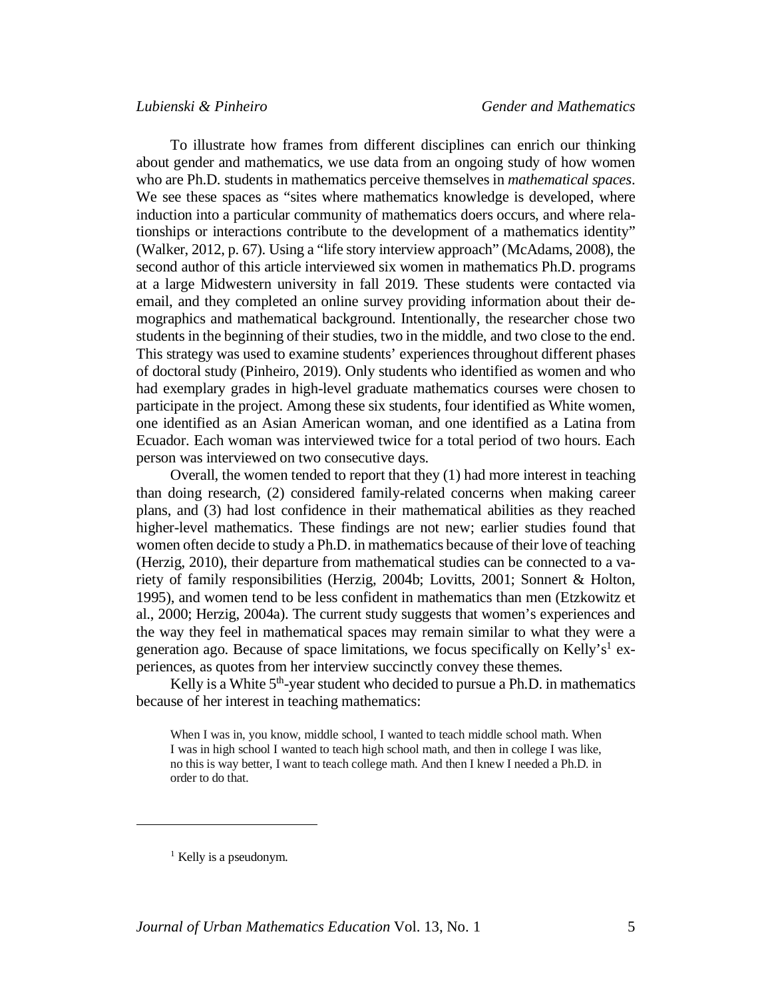To illustrate how frames from different disciplines can enrich our thinking about gender and mathematics, we use data from an ongoing study of how women who are Ph.D. students in mathematics perceive themselves in *mathematical spaces*. We see these spaces as "sites where mathematics knowledge is developed, where induction into a particular community of mathematics doers occurs, and where relationships or interactions contribute to the development of a mathematics identity" (Walker, 2012, p. 67). Using a "life story interview approach" (McAdams, 2008), the second author of this article interviewed six women in mathematics Ph.D. programs at a large Midwestern university in fall 2019. These students were contacted via email, and they completed an online survey providing information about their demographics and mathematical background. Intentionally, the researcher chose two students in the beginning of their studies, two in the middle, and two close to the end. This strategy was used to examine students' experiences throughout different phases of doctoral study (Pinheiro, 2019). Only students who identified as women and who had exemplary grades in high-level graduate mathematics courses were chosen to participate in the project. Among these six students, four identified as White women, one identified as an Asian American woman, and one identified as a Latina from Ecuador. Each woman was interviewed twice for a total period of two hours. Each person was interviewed on two consecutive days.

Overall, the women tended to report that they (1) had more interest in teaching than doing research, (2) considered family-related concerns when making career plans, and (3) had lost confidence in their mathematical abilities as they reached higher-level mathematics. These findings are not new; earlier studies found that women often decide to study a Ph.D. in mathematics because of their love of teaching (Herzig, 2010), their departure from mathematical studies can be connected to a variety of family responsibilities (Herzig, 2004b; Lovitts, 2001; Sonnert & Holton, 1995), and women tend to be less confident in mathematics than men (Etzkowitz et al., 2000; Herzig, 2004a). The current study suggests that women's experiences and the way they feel in mathematical spaces may remain similar to what they were a generation ago. Because of space limitations, we focus specifically on Kelly's<sup>1</sup> experiences, as quotes from her interview succinctly convey these themes.

Kelly is a White  $5<sup>th</sup>$ -year student who decided to pursue a Ph.D. in mathematics because of her interest in teaching mathematics:

When I was in, you know, middle school, I wanted to teach middle school math. When I was in high school I wanted to teach high school math, and then in college I was like, no this is way better, I want to teach college math. And then I knew I needed a Ph.D. in order to do that.

 $\overline{a}$ 

<sup>&</sup>lt;sup>1</sup> Kelly is a pseudonym.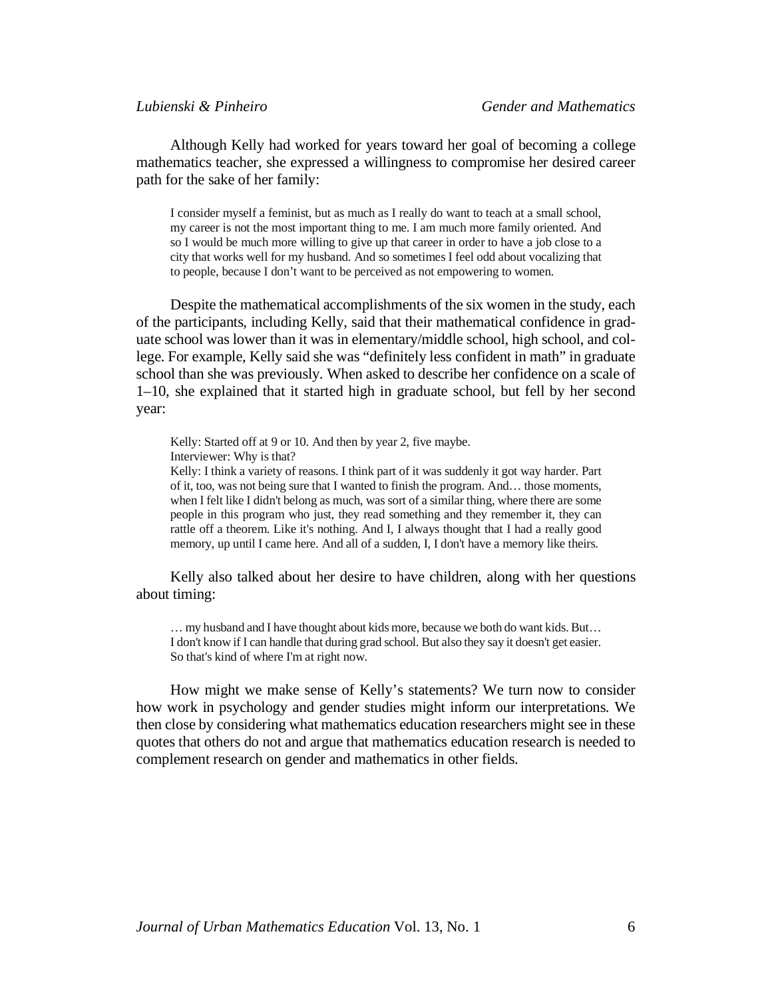Although Kelly had worked for years toward her goal of becoming a college mathematics teacher, she expressed a willingness to compromise her desired career path for the sake of her family:

I consider myself a feminist, but as much as I really do want to teach at a small school, my career is not the most important thing to me. I am much more family oriented. And so I would be much more willing to give up that career in order to have a job close to a city that works well for my husband. And so sometimes I feel odd about vocalizing that to people, because I don't want to be perceived as not empowering to women.

Despite the mathematical accomplishments of the six women in the study, each of the participants, including Kelly, said that their mathematical confidence in graduate school was lower than it was in elementary/middle school, high school, and college. For example, Kelly said she was "definitely less confident in math" in graduate school than she was previously. When asked to describe her confidence on a scale of 1–10, she explained that it started high in graduate school, but fell by her second year:

Kelly: Started off at 9 or 10. And then by year 2, five maybe. Interviewer: Why is that?

Kelly: I think a variety of reasons. I think part of it was suddenly it got way harder. Part of it, too, was not being sure that I wanted to finish the program. And… those moments, when I felt like I didn't belong as much, was sort of a similar thing, where there are some people in this program who just, they read something and they remember it, they can rattle off a theorem. Like it's nothing. And I, I always thought that I had a really good memory, up until I came here. And all of a sudden, I, I don't have a memory like theirs.

Kelly also talked about her desire to have children, along with her questions about timing:

… my husband and I have thought about kids more, because we both do want kids. But… I don't know if I can handle that during grad school. But also they say it doesn't get easier. So that's kind of where I'm at right now.

How might we make sense of Kelly's statements? We turn now to consider how work in psychology and gender studies might inform our interpretations. We then close by considering what mathematics education researchers might see in these quotes that others do not and argue that mathematics education research is needed to complement research on gender and mathematics in other fields.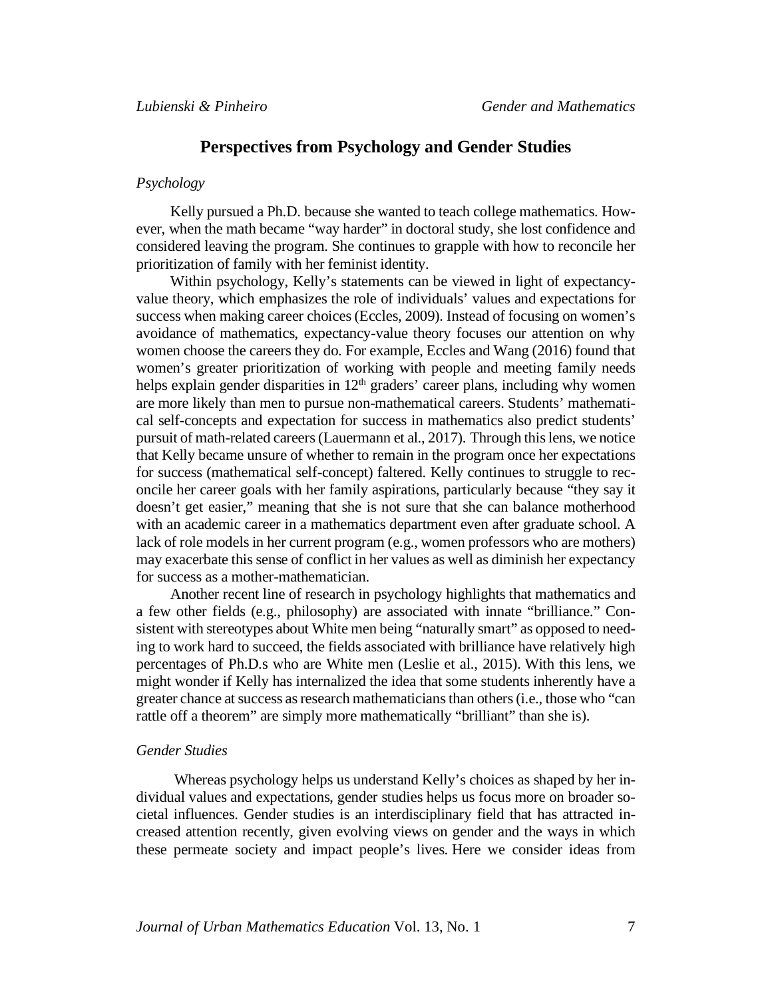## **Perspectives from Psychology and Gender Studies**

#### *Psychology*

Kelly pursued a Ph.D. because she wanted to teach college mathematics. However, when the math became "way harder" in doctoral study, she lost confidence and considered leaving the program. She continues to grapple with how to reconcile her prioritization of family with her feminist identity.

Within psychology, Kelly's statements can be viewed in light of expectancyvalue theory, which emphasizes the role of individuals' values and expectations for success when making career choices (Eccles, 2009). Instead of focusing on women's avoidance of mathematics, expectancy-value theory focuses our attention on why women choose the careers they do. For example, Eccles and Wang (2016) found that women's greater prioritization of working with people and meeting family needs helps explain gender disparities in  $12<sup>th</sup>$  graders' career plans, including why women are more likely than men to pursue non-mathematical careers. Students' mathematical self-concepts and expectation for success in mathematics also predict students' pursuit of math-related careers (Lauermann et al., 2017). Through this lens, we notice that Kelly became unsure of whether to remain in the program once her expectations for success (mathematical self-concept) faltered. Kelly continues to struggle to reconcile her career goals with her family aspirations, particularly because "they say it doesn't get easier," meaning that she is not sure that she can balance motherhood with an academic career in a mathematics department even after graduate school. A lack of role models in her current program (e.g., women professors who are mothers) may exacerbate this sense of conflict in her values as well as diminish her expectancy for success as a mother-mathematician.

Another recent line of research in psychology highlights that mathematics and a few other fields (e.g., philosophy) are associated with innate "brilliance." Consistent with stereotypes about White men being "naturally smart" as opposed to needing to work hard to succeed, the fields associated with brilliance have relatively high percentages of Ph.D.s who are White men (Leslie et al., 2015). With this lens, we might wonder if Kelly has internalized the idea that some students inherently have a greater chance at success as research mathematiciansthan others (i.e., those who "can rattle off a theorem" are simply more mathematically "brilliant" than she is).

#### *Gender Studies*

Whereas psychology helps us understand Kelly's choices as shaped by her individual values and expectations, gender studies helps us focus more on broader societal influences. Gender studies is an interdisciplinary field that has attracted increased attention recently, given evolving views on gender and the ways in which these permeate society and impact people's lives. Here we consider ideas from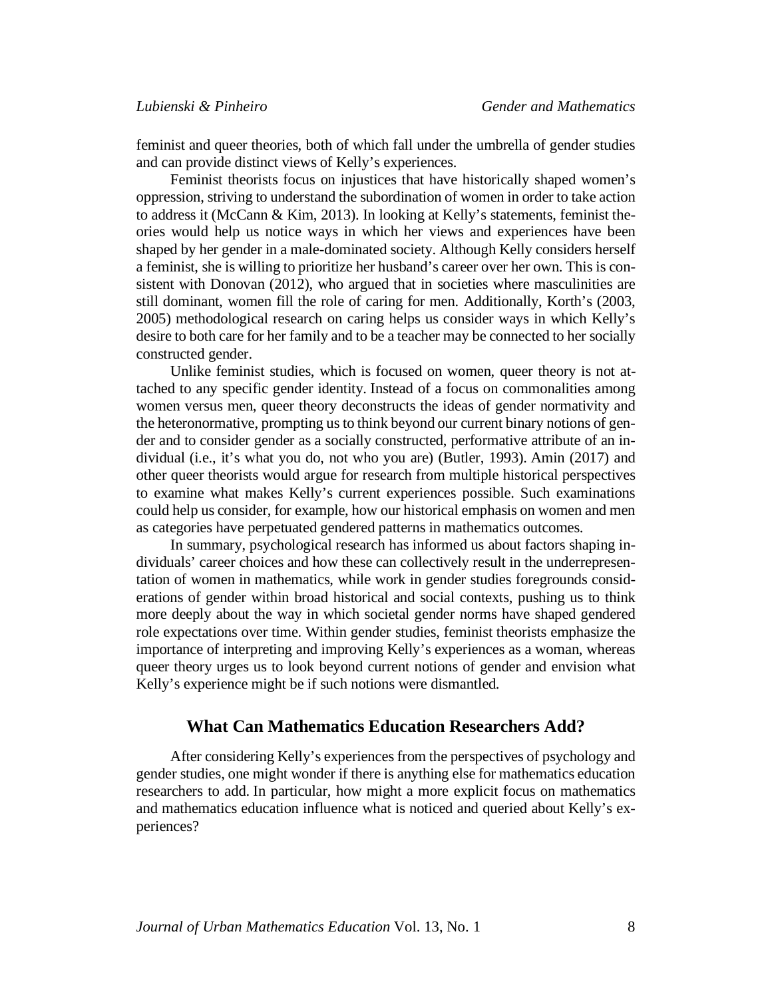feminist and queer theories, both of which fall under the umbrella of gender studies and can provide distinct views of Kelly's experiences.

Feminist theorists focus on injustices that have historically shaped women's oppression, striving to understand the subordination of women in order to take action to address it (McCann & Kim, 2013). In looking at Kelly's statements, feminist theories would help us notice ways in which her views and experiences have been shaped by her gender in a male-dominated society. Although Kelly considers herself a feminist, she is willing to prioritize her husband's career over her own. This is consistent with Donovan (2012), who argued that in societies where masculinities are still dominant, women fill the role of caring for men. Additionally, Korth's (2003, 2005) methodological research on caring helps us consider ways in which Kelly's desire to both care for her family and to be a teacher may be connected to her socially constructed gender.

Unlike feminist studies, which is focused on women, queer theory is not attached to any specific gender identity. Instead of a focus on commonalities among women versus men, queer theory deconstructs the ideas of gender normativity and the heteronormative, prompting us to think beyond our current binary notions of gender and to consider gender as a socially constructed, performative attribute of an individual (i.e., it's what you do, not who you are) (Butler, 1993). Amin (2017) and other queer theorists would argue for research from multiple historical perspectives to examine what makes Kelly's current experiences possible. Such examinations could help us consider, for example, how our historical emphasis on women and men as categories have perpetuated gendered patterns in mathematics outcomes.

In summary, psychological research has informed us about factors shaping individuals' career choices and how these can collectively result in the underrepresentation of women in mathematics, while work in gender studies foregrounds considerations of gender within broad historical and social contexts, pushing us to think more deeply about the way in which societal gender norms have shaped gendered role expectations over time. Within gender studies, feminist theorists emphasize the importance of interpreting and improving Kelly's experiences as a woman, whereas queer theory urges us to look beyond current notions of gender and envision what Kelly's experience might be if such notions were dismantled.

#### **What Can Mathematics Education Researchers Add?**

After considering Kelly's experiences from the perspectives of psychology and gender studies, one might wonder if there is anything else for mathematics education researchers to add. In particular, how might a more explicit focus on mathematics and mathematics education influence what is noticed and queried about Kelly's experiences?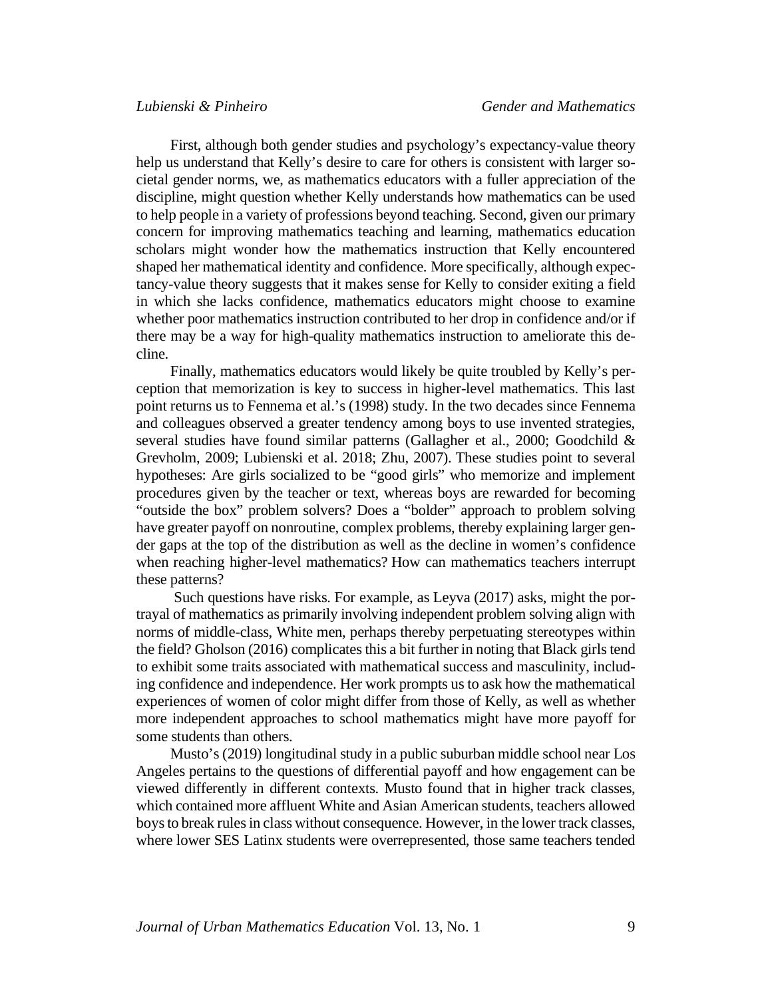First, although both gender studies and psychology's expectancy-value theory help us understand that Kelly's desire to care for others is consistent with larger societal gender norms, we, as mathematics educators with a fuller appreciation of the discipline, might question whether Kelly understands how mathematics can be used to help people in a variety of professions beyond teaching. Second, given our primary concern for improving mathematics teaching and learning, mathematics education scholars might wonder how the mathematics instruction that Kelly encountered shaped her mathematical identity and confidence. More specifically, although expectancy-value theory suggests that it makes sense for Kelly to consider exiting a field in which she lacks confidence, mathematics educators might choose to examine whether poor mathematics instruction contributed to her drop in confidence and/or if there may be a way for high-quality mathematics instruction to ameliorate this decline.

Finally, mathematics educators would likely be quite troubled by Kelly's perception that memorization is key to success in higher-level mathematics. This last point returns us to Fennema et al.'s (1998) study. In the two decades since Fennema and colleagues observed a greater tendency among boys to use invented strategies, several studies have found similar patterns (Gallagher et al., 2000; Goodchild & Grevholm, 2009; Lubienski et al. 2018; Zhu, 2007). These studies point to several hypotheses: Are girls socialized to be "good girls" who memorize and implement procedures given by the teacher or text, whereas boys are rewarded for becoming "outside the box" problem solvers? Does a "bolder" approach to problem solving have greater payoff on nonroutine, complex problems, thereby explaining larger gender gaps at the top of the distribution as well as the decline in women's confidence when reaching higher-level mathematics? How can mathematics teachers interrupt these patterns?

Such questions have risks. For example, as Leyva (2017) asks, might the portrayal of mathematics as primarily involving independent problem solving align with norms of middle-class, White men, perhaps thereby perpetuating stereotypes within the field? Gholson (2016) complicates this a bit further in noting that Black girls tend to exhibit some traits associated with mathematical success and masculinity, including confidence and independence. Her work prompts us to ask how the mathematical experiences of women of color might differ from those of Kelly, as well as whether more independent approaches to school mathematics might have more payoff for some students than others.

Musto's (2019) longitudinal study in a public suburban middle school near Los Angeles pertains to the questions of differential payoff and how engagement can be viewed differently in different contexts. Musto found that in higher track classes, which contained more affluent White and Asian American students, teachers allowed boys to break rules in class without consequence. However, in the lower track classes, where lower SES Latinx students were overrepresented, those same teachers tended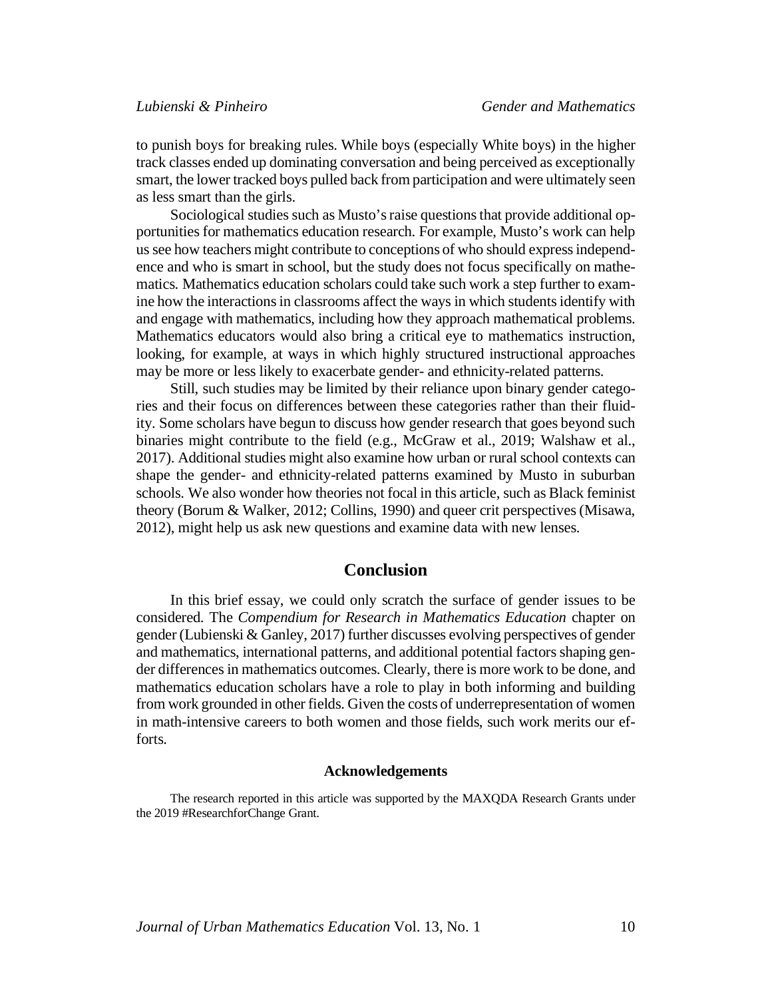to punish boys for breaking rules. While boys (especially White boys) in the higher track classes ended up dominating conversation and being perceived as exceptionally smart, the lower tracked boys pulled back from participation and were ultimately seen as less smart than the girls.

Sociological studies such as Musto's raise questions that provide additional opportunities for mathematics education research. For example, Musto's work can help us see how teachers might contribute to conceptions of who should express independence and who is smart in school, but the study does not focus specifically on mathematics. Mathematics education scholars could take such work a step further to examine how the interactions in classrooms affect the ways in which students identify with and engage with mathematics, including how they approach mathematical problems. Mathematics educators would also bring a critical eye to mathematics instruction, looking, for example, at ways in which highly structured instructional approaches may be more or less likely to exacerbate gender- and ethnicity-related patterns.

Still, such studies may be limited by their reliance upon binary gender categories and their focus on differences between these categories rather than their fluidity. Some scholars have begun to discuss how gender research that goes beyond such binaries might contribute to the field (e.g., McGraw et al., 2019; Walshaw et al., 2017). Additional studies might also examine how urban or rural school contexts can shape the gender- and ethnicity-related patterns examined by Musto in suburban schools. We also wonder how theories not focal in this article, such as Black feminist theory (Borum & Walker, 2012; Collins, 1990) and queer crit perspectives (Misawa, 2012), might help us ask new questions and examine data with new lenses.

## **Conclusion**

In this brief essay, we could only scratch the surface of gender issues to be considered. The *Compendium for Research in Mathematics Education* chapter on gender (Lubienski & Ganley, 2017) further discusses evolving perspectives of gender and mathematics, international patterns, and additional potential factors shaping gender differences in mathematics outcomes. Clearly, there is more work to be done, and mathematics education scholars have a role to play in both informing and building from work grounded in other fields. Given the costs of underrepresentation of women in math-intensive careers to both women and those fields, such work merits our efforts.

#### **Acknowledgements**

The research reported in this article was supported by the MAXQDA Research Grants under the 2019 #ResearchforChange Grant.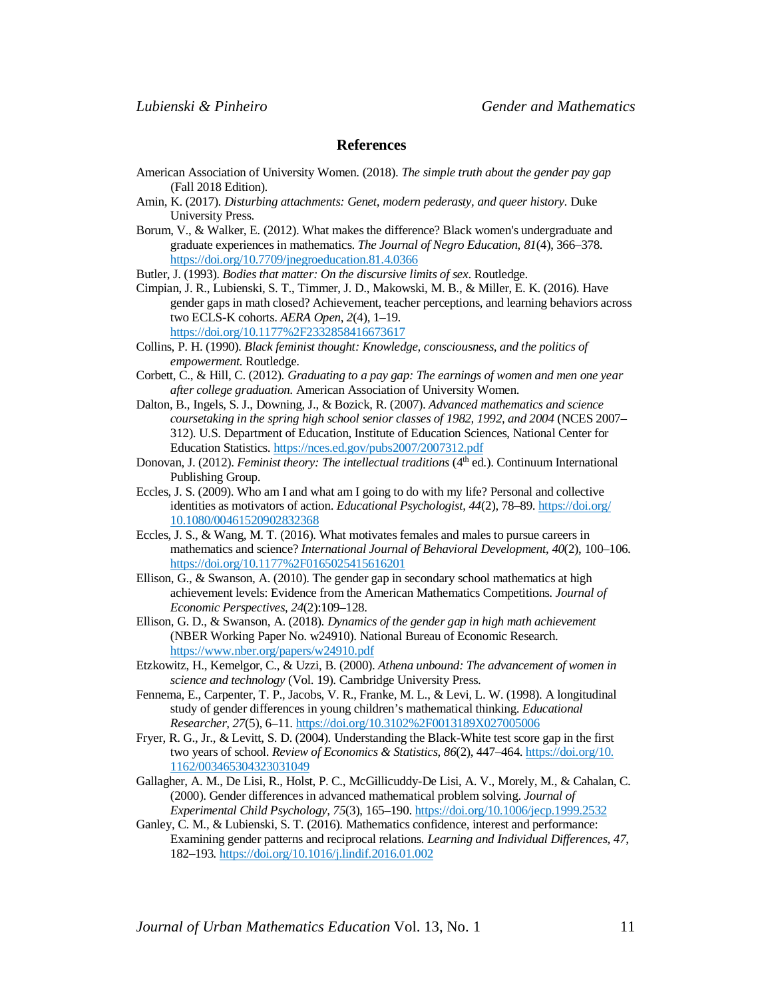#### **References**

- American Association of University Women. (2018). *The simple truth about the gender pay gap* (Fall 2018 Edition).
- Amin, K. (2017). *Disturbing attachments: Genet, modern pederasty, and queer history*. Duke University Press.
- Borum, V., & Walker, E. (2012). What makes the difference? Black women's undergraduate and graduate experiences in mathematics. *The Journal of Negro Education*, *81*(4), 366–378. https://doi.org/10.7709/jnegroeducation.81.4.0366

Butler, J. (1993). *Bodies that matter: On the discursive limits of sex*. Routledge.

Cimpian, J. R., Lubienski, S. T., Timmer, J. D., Makowski, M. B., & Miller, E. K. (2016). Have gender gaps in math closed? Achievement, teacher perceptions, and learning behaviors across two ECLS-K cohorts. *AERA Open*, *2*(4), 1–19. https://doi.org/10.1177%2F2332858416673617

Collins, P. H. (1990). *Black feminist thought: Knowledge, consciousness, and the politics of empowerment.* Routledge.

- Corbett, C., & Hill, C. (2012). *Graduating to a pay gap: The earnings of women and men one year after college graduation*. American Association of University Women.
- Dalton, B., Ingels, S. J., Downing, J., & Bozick, R. (2007). *Advanced mathematics and science coursetaking in the spring high school senior classes of 1982, 1992, and 2004* (NCES 2007– 312). U.S. Department of Education, Institute of Education Sciences, National Center for Education Statistics. https://nces.ed.gov/pubs2007/2007312.pdf
- Donovan, J. (2012). *Feminist theory: The intellectual traditions* (4<sup>th</sup> ed.). Continuum International Publishing Group.
- Eccles, J. S. (2009). Who am I and what am I going to do with my life? Personal and collective identities as motivators of action. *Educational Psychologist*, *44*(2), 78–89. https://doi.org/ 10.1080/00461520902832368
- Eccles, J. S., & Wang, M. T. (2016). What motivates females and males to pursue careers in mathematics and science? *International Journal of Behavioral Development*, *40*(2), 100–106. https://doi.org/10.1177%2F0165025415616201
- Ellison, G., & Swanson, A. (2010). The gender gap in secondary school mathematics at high achievement levels: Evidence from the American Mathematics Competitions. *Journal of Economic Perspectives*, *24*(2):109–128.
- Ellison, G. D., & Swanson, A. (2018). *Dynamics of the gender gap in high math achievement* (NBER Working Paper No. w24910). National Bureau of Economic Research. https://www.nber.org/papers/w24910.pdf
- Etzkowitz, H., Kemelgor, C., & Uzzi, B. (2000). *Athena unbound: The advancement of women in science and technology* (Vol. 19). Cambridge University Press.
- Fennema, E., Carpenter, T. P., Jacobs, V. R., Franke, M. L., & Levi, L. W. (1998). A longitudinal study of gender differences in young children's mathematical thinking. *Educational Researcher, 27*(5), 6–11. https://doi.org/10.3102%2F0013189X027005006
- Fryer, R. G., Jr., & Levitt, S. D. (2004). Understanding the Black-White test score gap in the first two years of school. *Review of Economics & Statistics*, *86*(2), 447–464. https://doi.org/10. 1162/003465304323031049
- Gallagher, A. M., De Lisi, R., Holst, P. C., McGillicuddy-De Lisi, A. V., Morely, M., & Cahalan, C. (2000). Gender differences in advanced mathematical problem solving. *Journal of Experimental Child Psychology, 75*(3), 165–190. https://doi.org/10.1006/jecp.1999.2532
- Ganley, C. M., & Lubienski, S. T. (2016). Mathematics confidence, interest and performance: Examining gender patterns and reciprocal relations. *Learning and Individual Differences, 47*, 182–193*.* https://doi.org/10.1016/j.lindif.2016.01.002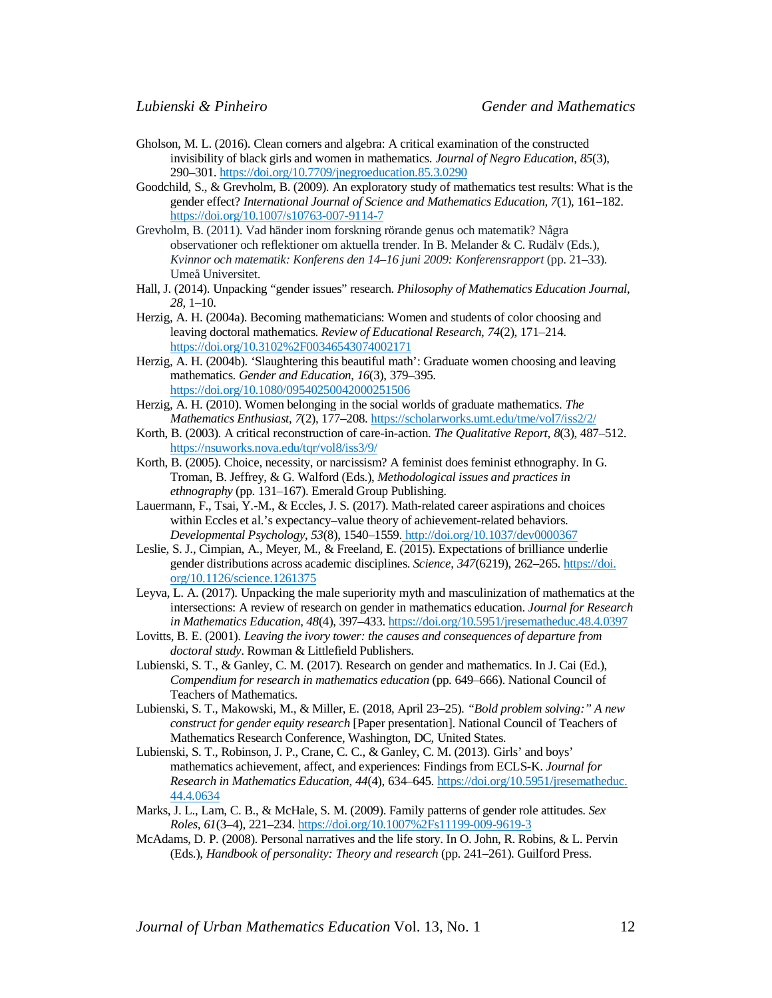- Gholson, M. L. (2016). Clean corners and algebra: A critical examination of the constructed invisibility of black girls and women in mathematics. *Journal of Negro Education*, *85*(3), 290–301. https://doi.org/10.7709/jnegroeducation.85.3.0290
- Goodchild, S., & Grevholm, B. (2009). An exploratory study of mathematics test results: What is the gender effect? *International Journal of Science and Mathematics Education, 7*(1), 161–182. https://doi.org/10.1007/s10763-007-9114-7
- Grevholm, B. (2011). Vad händer inom forskning rörande genus och matematik? Några observationer och reflektioner om aktuella trender. In B. Melander & C. Rudälv (Eds.), *Kvinnor och matematik: Konferens den 14–16 juni 2009: Konferensrapport* (pp. 21–33). Umeå Universitet.
- Hall, J. (2014). Unpacking "gender issues" research. *Philosophy of Mathematics Education Journal*, *28*, 1–10.
- Herzig, A. H. (2004a). Becoming mathematicians: Women and students of color choosing and leaving doctoral mathematics. *Review of Educational Research*, *74*(2), 171–214. https://doi.org/10.3102%2F00346543074002171
- Herzig, A. H. (2004b). 'Slaughtering this beautiful math': Graduate women choosing and leaving mathematics. *Gender and Education*, *16*(3), 379–395. https://doi.org/10.1080/09540250042000251506
- Herzig, A. H. (2010). Women belonging in the social worlds of graduate mathematics. *The Mathematics Enthusiast*, *7*(2), 177–208. https://scholarworks.umt.edu/tme/vol7/iss2/2/
- Korth, B. (2003). A critical reconstruction of care-in-action. *The Qualitative Report*, *8*(3), 487–512. https://nsuworks.nova.edu/tqr/vol8/iss3/9/
- Korth, B. (2005). Choice, necessity, or narcissism? A feminist does feminist ethnography. In G. Troman, B. Jeffrey, & G. Walford (Eds.), *Methodological issues and practices in ethnography* (pp. 131–167). Emerald Group Publishing.
- Lauermann, F., Tsai, Y.-M., & Eccles, J. S. (2017). Math-related career aspirations and choices within Eccles et al.'s expectancy–value theory of achievement-related behaviors. *Developmental Psychology*, *53*(8), 1540–1559. http://doi.org/10.1037/dev0000367
- Leslie, S. J., Cimpian, A., Meyer, M., & Freeland, E. (2015). Expectations of brilliance underlie gender distributions across academic disciplines. *Science*, *347*(6219), 262–265. https://doi. org/10.1126/science.1261375
- Leyva, L. A. (2017). Unpacking the male superiority myth and masculinization of mathematics at the intersections: A review of research on gender in mathematics education. *Journal for Research in Mathematics Education, 48*(4), 397–433. https://doi.org/10.5951/jresematheduc.48.4.0397
- Lovitts, B. E. (2001). *Leaving the ivory tower: the causes and consequences of departure from doctoral study*. Rowman & Littlefield Publishers.
- Lubienski, S. T., & Ganley, C. M. (2017). Research on gender and mathematics. In J. Cai (Ed.), *Compendium for research in mathematics education* (pp. 649–666). National Council of Teachers of Mathematics.
- Lubienski, S. T., Makowski, M., & Miller, E. (2018, April 23–25). *"Bold problem solving:" A new construct for gender equity research* [Paper presentation]. National Council of Teachers of Mathematics Research Conference, Washington, DC, United States.
- Lubienski, S. T., Robinson, J. P., Crane, C. C., & Ganley, C. M. (2013). Girls' and boys' mathematics achievement, affect, and experiences: Findings from ECLS-K. *Journal for Research in Mathematics Education*, *44*(4), 634–645. https://doi.org/10.5951/jresematheduc. 44.4.0634
- Marks, J. L., Lam, C. B., & McHale, S. M. (2009). Family patterns of gender role attitudes. *Sex Roles, 61*(3–4), 221–234. https://doi.org/10.1007%2Fs11199-009-9619-3
- McAdams, D. P. (2008). Personal narratives and the life story. In O. John, R. Robins, & L. Pervin (Eds.), *Handbook of personality: Theory and research* (pp. 241–261). Guilford Press.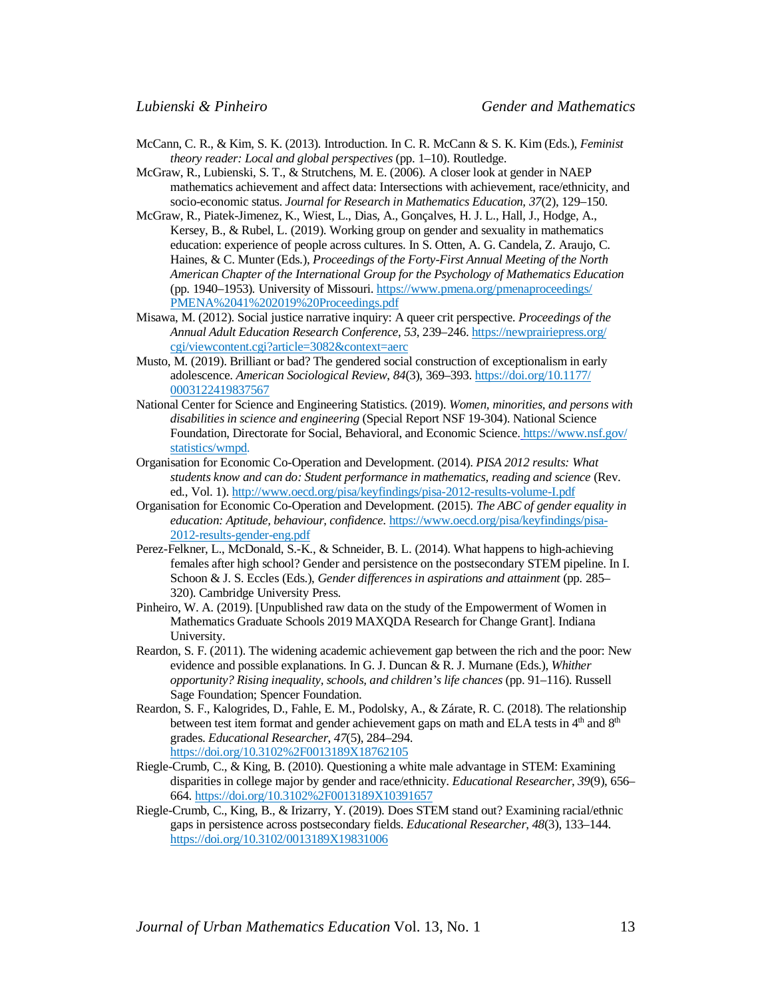- McCann, C. R., & Kim, S. K. (2013). Introduction. In C. R. McCann & S. K. Kim (Eds.), *Feminist theory reader: Local and global perspectives* (pp. 1–10). Routledge.
- McGraw, R., Lubienski, S. T., & Strutchens, M. E. (2006). A closer look at gender in NAEP mathematics achievement and affect data: Intersections with achievement, race/ethnicity, and socio-economic status. *Journal for Research in Mathematics Education, 37*(2), 129–150.
- McGraw, R., Piatek-Jimenez, K., Wiest, L., Dias, A., Gonçalves, H. J. L., Hall, J., Hodge, A., Kersey, B., & Rubel, L. (2019). Working group on gender and sexuality in mathematics education: experience of people across cultures. In S. Otten, A. G. Candela, Z. Araujo, C. Haines, & C. Munter (Eds.), *Proceedings of the Forty-First Annual Meeting of the North American Chapter of the International Group for the Psychology of Mathematics Education*  (pp. 1940–1953)*.* University of Missouri. https://www.pmena.org/pmenaproceedings/ PMENA%2041%202019%20Proceedings.pdf
- Misawa, M. (2012). Social justice narrative inquiry: A queer crit perspective. *Proceedings of the Annual Adult Education Research Conference*, *53*, 239–246. https://newprairiepress.org/ cgi/viewcontent.cgi?article=3082&context=aerc
- Musto, M. (2019). Brilliant or bad? The gendered social construction of exceptionalism in early adolescence. *American Sociological Review*, *84*(3), 369–393. https://doi.org/10.1177/ 0003122419837567
- National Center for Science and Engineering Statistics. (2019). *Women, minorities, and persons with disabilities in science and engineering* (Special Report NSF 19-304). National Science Foundation, Directorate for Social, Behavioral, and Economic Science. https://www.nsf.gov/ statistics/wmpd.
- Organisation for Economic Co-Operation and Development. (2014). *PISA 2012 results: What students know and can do: Student performance in mathematics, reading and science* (Rev. ed., Vol. 1). http://www.oecd.org/pisa/keyfindings/pisa-2012-results-volume-I.pdf
- Organisation for Economic Co-Operation and Development. (2015). *The ABC of gender equality in education: Aptitude, behaviour, confidence*. https://www.oecd.org/pisa/keyfindings/pisa-2012-results-gender-eng.pdf
- Perez-Felkner, L., McDonald, S.-K., & Schneider, B. L. (2014). What happens to high-achieving females after high school? Gender and persistence on the postsecondary STEM pipeline. In I. Schoon & J. S. Eccles (Eds.), *Gender differences in aspirations and attainment* (pp. 285– 320). Cambridge University Press.
- Pinheiro, W. A. (2019). [Unpublished raw data on the study of the Empowerment of Women in Mathematics Graduate Schools 2019 MAXQDA Research for Change Grant]. Indiana University.
- Reardon, S. F. (2011). The widening academic achievement gap between the rich and the poor: New evidence and possible explanations. In G. J. Duncan & R. J. Murnane (Eds.), *Whither opportunity? Rising inequality, schools, and children's life chances* (pp. 91–116). Russell Sage Foundation; Spencer Foundation.
- Reardon, S. F., Kalogrides, D., Fahle, E. M., Podolsky, A., & Zárate, R. C. (2018). The relationship between test item format and gender achievement gaps on math and ELA tests in  $4<sup>th</sup>$  and  $8<sup>th</sup>$ grades. *Educational Researcher*, *47*(5), 284–294. https://doi.org/10.3102%2F0013189X18762105
- Riegle-Crumb, C., & King, B. (2010). Questioning a white male advantage in STEM: Examining disparities in college major by gender and race/ethnicity. *Educational Researcher*, *39*(9), 656– 664. https://doi.org/10.3102%2F0013189X10391657
- Riegle-Crumb, C., King, B., & Irizarry, Y. (2019). Does STEM stand out? Examining racial/ethnic gaps in persistence across postsecondary fields. *Educational Researcher*, *48*(3), 133–144. https://doi.org/10.3102/0013189X19831006